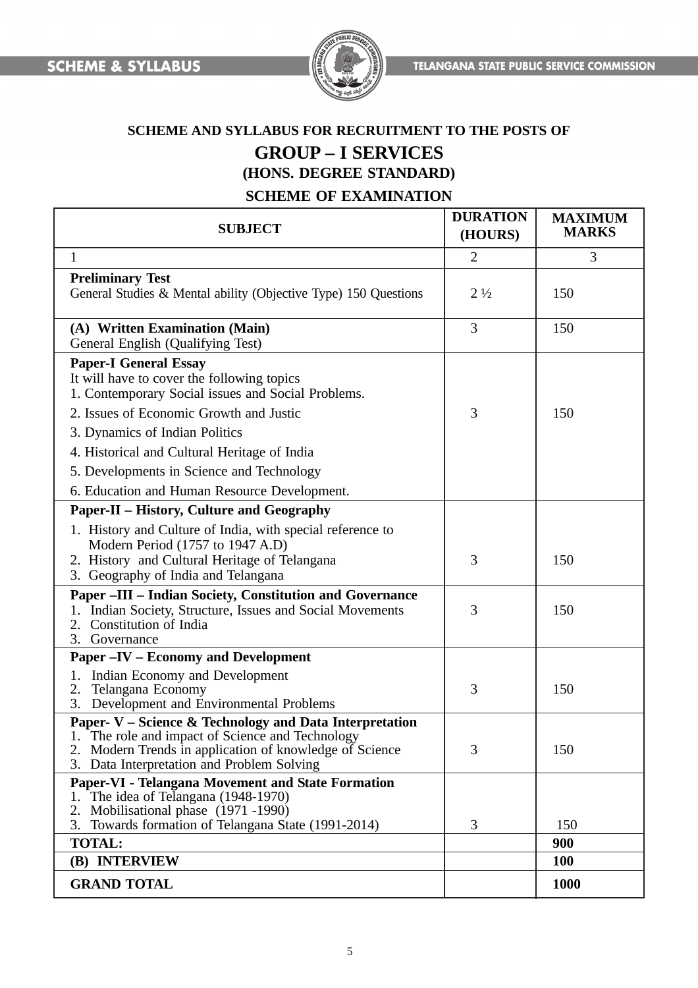

# **SCHEME AND SYLLABUS FOR RECRUITMENT TO THE POSTS OF GROUP – I SERVICES (HONS. DEGREE STANDARD)**

# **SCHEME OF EXAMINATION**

| <b>SUBJECT</b>                                                                                                                                                                                                    | <b>DURATION</b><br>(HOURS) | <b>MAXIMUM</b><br><b>MARKS</b> |
|-------------------------------------------------------------------------------------------------------------------------------------------------------------------------------------------------------------------|----------------------------|--------------------------------|
| $\mathbf{1}$                                                                                                                                                                                                      | $\overline{2}$             | 3                              |
| <b>Preliminary Test</b><br>General Studies & Mental ability (Objective Type) 150 Questions                                                                                                                        | $2\frac{1}{2}$             | 150                            |
| (A) Written Examination (Main)<br>General English (Qualifying Test)                                                                                                                                               | $\overline{3}$             | 150                            |
| <b>Paper-I General Essay</b><br>It will have to cover the following topics<br>1. Contemporary Social issues and Social Problems.<br>2. Issues of Economic Growth and Justic                                       | 3                          | 150                            |
| 3. Dynamics of Indian Politics                                                                                                                                                                                    |                            |                                |
| 4. Historical and Cultural Heritage of India                                                                                                                                                                      |                            |                                |
| 5. Developments in Science and Technology                                                                                                                                                                         |                            |                                |
| 6. Education and Human Resource Development.                                                                                                                                                                      |                            |                                |
| <b>Paper-II – History, Culture and Geography</b>                                                                                                                                                                  |                            |                                |
| 1. History and Culture of India, with special reference to<br>Modern Period (1757 to 1947 A.D)<br>2. History and Cultural Heritage of Telangana<br>3. Geography of India and Telangana                            | 3                          | 150                            |
| <b>Paper -III - Indian Society, Constitution and Governance</b><br>Indian Society, Structure, Issues and Social Movements<br>Constitution of India<br>2.<br>Governance<br>3.                                      | 3                          | 150                            |
| <b>Paper -IV - Economy and Development</b>                                                                                                                                                                        |                            |                                |
| Indian Economy and Development<br>1.<br>Telangana Economy<br>2.<br>Development and Environmental Problems<br>3.                                                                                                   | 3                          | 150                            |
| Paper- V – Science & Technology and Data Interpretation<br>The role and impact of Science and Technology<br>Modern Trends in application of knowledge of Science<br>Data Interpretation and Problem Solving<br>3. | 3                          | 150                            |
| Paper-VI - Telangana Movement and State Formation<br>1. The idea of Telangana (1948-1970)<br>Mobilisational phase (1971-1990)<br>2.<br>Towards formation of Telangana State (1991-2014)<br>3.                     | 3                          | 150                            |
| <b>TOTAL:</b>                                                                                                                                                                                                     |                            | 900                            |
| (B) INTERVIEW                                                                                                                                                                                                     |                            | <b>100</b>                     |
| <b>GRAND TOTAL</b>                                                                                                                                                                                                |                            | <b>1000</b>                    |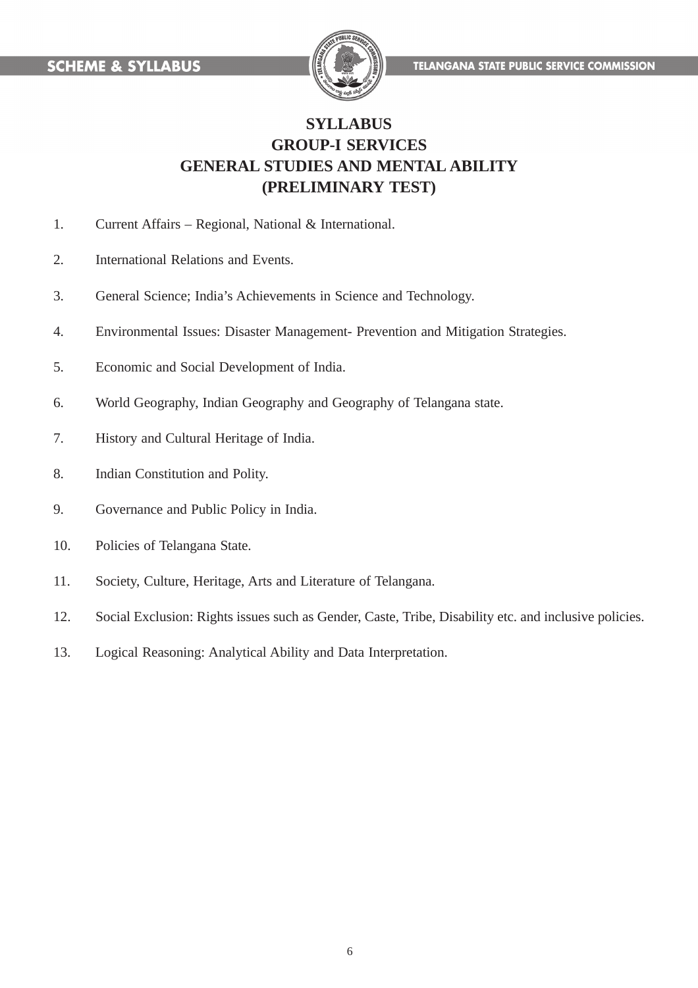

# **SYLLABUS GROUP-I SERVICES GENERAL STUDIES AND MENTAL ABILITY (PRELIMINARY TEST)**

- 1. Current Affairs Regional, National & International.
- 2. International Relations and Events.
- 3. General Science; India's Achievements in Science and Technology.
- 4. Environmental Issues: Disaster Management- Prevention and Mitigation Strategies.
- 5. Economic and Social Development of India.
- 6. World Geography, Indian Geography and Geography of Telangana state.
- 7. History and Cultural Heritage of India.
- 8. Indian Constitution and Polity.
- 9. Governance and Public Policy in India.
- 10. Policies of Telangana State.
- 11. Society, Culture, Heritage, Arts and Literature of Telangana.
- 12. Social Exclusion: Rights issues such as Gender, Caste, Tribe, Disability etc. and inclusive policies.
- 13. Logical Reasoning: Analytical Ability and Data Interpretation.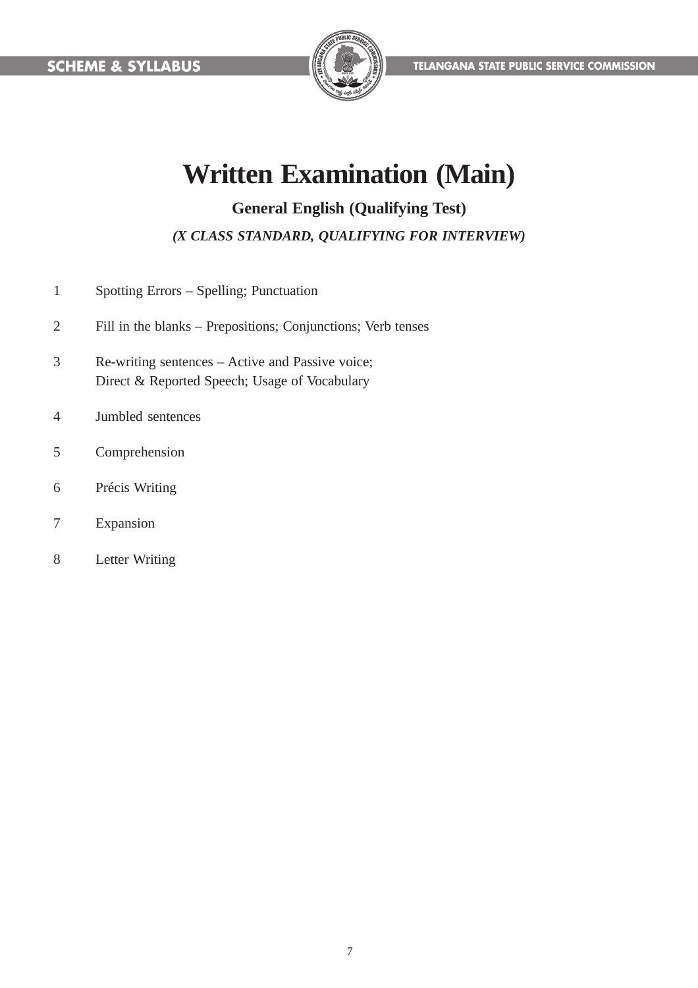

# **Written Examination (Main)**

**General English (Qualifying Test)**

*(X CLASS STANDARD, QUALIFYING FOR INTERVIEW)*

- 1 Spotting Errors Spelling; Punctuation
- 2 Fill in the blanks Prepositions; Conjunctions; Verb tenses
- 3 Re-writing sentences Active and Passive voice; Direct & Reported Speech; Usage of Vocabulary
- 4 Jumbled sentences
- 5 Comprehension
- 6 Précis Writing
- 7 Expansion
- 8 Letter Writing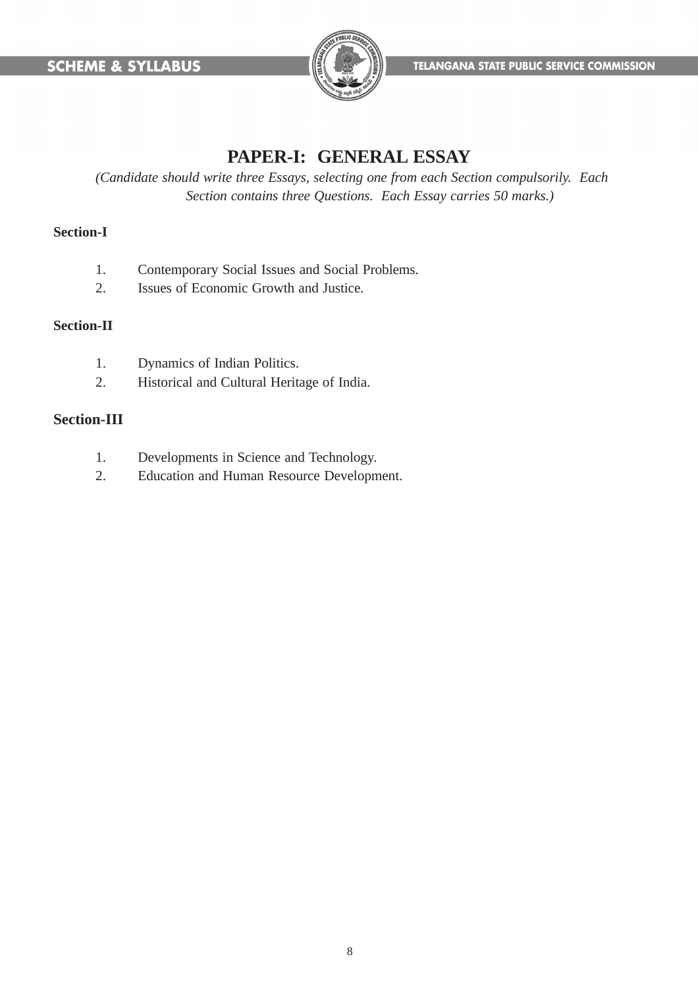

# **PAPER-I: GENERAL ESSAY**

*(Candidate should write three Essays, selecting one from each Section compulsorily. Each Section contains three Questions. Each Essay carries 50 marks.)*

#### **Section-I**

- 1. Contemporary Social Issues and Social Problems.
- 2. Issues of Economic Growth and Justice.

#### **Section-II**

- 1. Dynamics of Indian Politics.
- 2. Historical and Cultural Heritage of India.

### **Section-III**

- 1. Developments in Science and Technology.
- 2. Education and Human Resource Development.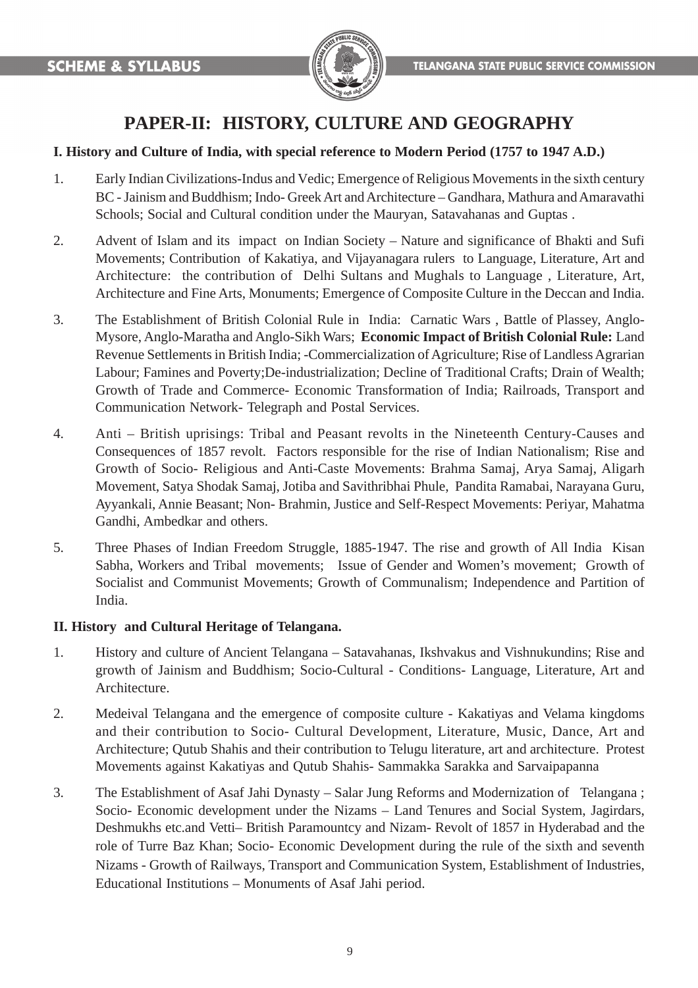

# **PAPER-II: HISTORY, CULTURE AND GEOGRAPHY**

#### **I. History and Culture of India, with special reference to Modern Period (1757 to 1947 A.D.)**

- 1. Early Indian Civilizations-Indus and Vedic; Emergence of Religious Movements in the sixth century BC - Jainism and Buddhism; Indo- Greek Art and Architecture – Gandhara, Mathura and Amaravathi Schools; Social and Cultural condition under the Mauryan, Satavahanas and Guptas .
- 2. Advent of Islam and its impact on Indian Society Nature and significance of Bhakti and Sufi Movements; Contribution of Kakatiya, and Vijayanagara rulers to Language, Literature, Art and Architecture: the contribution of Delhi Sultans and Mughals to Language , Literature, Art, Architecture and Fine Arts, Monuments; Emergence of Composite Culture in the Deccan and India.
- 3. The Establishment of British Colonial Rule in India: Carnatic Wars , Battle of Plassey, Anglo-Mysore, Anglo-Maratha and Anglo-Sikh Wars; **Economic Impact of British Colonial Rule:** Land Revenue Settlements in British India; -Commercialization of Agriculture; Rise of Landless Agrarian Labour; Famines and Poverty;De-industrialization; Decline of Traditional Crafts; Drain of Wealth; Growth of Trade and Commerce- Economic Transformation of India; Railroads, Transport and Communication Network- Telegraph and Postal Services.
- 4. Anti British uprisings: Tribal and Peasant revolts in the Nineteenth Century-Causes and Consequences of 1857 revolt. Factors responsible for the rise of Indian Nationalism; Rise and Growth of Socio- Religious and Anti-Caste Movements: Brahma Samaj, Arya Samaj, Aligarh Movement, Satya Shodak Samaj, Jotiba and Savithribhai Phule, Pandita Ramabai, Narayana Guru, Ayyankali, Annie Beasant; Non- Brahmin, Justice and Self-Respect Movements: Periyar, Mahatma Gandhi, Ambedkar and others.
- 5. Three Phases of Indian Freedom Struggle, 1885-1947. The rise and growth of All India Kisan Sabha, Workers and Tribal movements; Issue of Gender and Women's movement; Growth of Socialist and Communist Movements; Growth of Communalism; Independence and Partition of India.

#### **II. History and Cultural Heritage of Telangana.**

- 1. History and culture of Ancient Telangana Satavahanas, Ikshvakus and Vishnukundins; Rise and growth of Jainism and Buddhism; Socio-Cultural - Conditions- Language, Literature, Art and Architecture.
- 2. Medeival Telangana and the emergence of composite culture Kakatiyas and Velama kingdoms and their contribution to Socio- Cultural Development, Literature, Music, Dance, Art and Architecture; Qutub Shahis and their contribution to Telugu literature, art and architecture. Protest Movements against Kakatiyas and Qutub Shahis- Sammakka Sarakka and Sarvaipapanna
- 3. The Establishment of Asaf Jahi Dynasty Salar Jung Reforms and Modernization of Telangana ; Socio- Economic development under the Nizams – Land Tenures and Social System, Jagirdars, Deshmukhs etc.and Vetti– British Paramountcy and Nizam- Revolt of 1857 in Hyderabad and the role of Turre Baz Khan; Socio- Economic Development during the rule of the sixth and seventh Nizams - Growth of Railways, Transport and Communication System, Establishment of Industries, Educational Institutions – Monuments of Asaf Jahi period.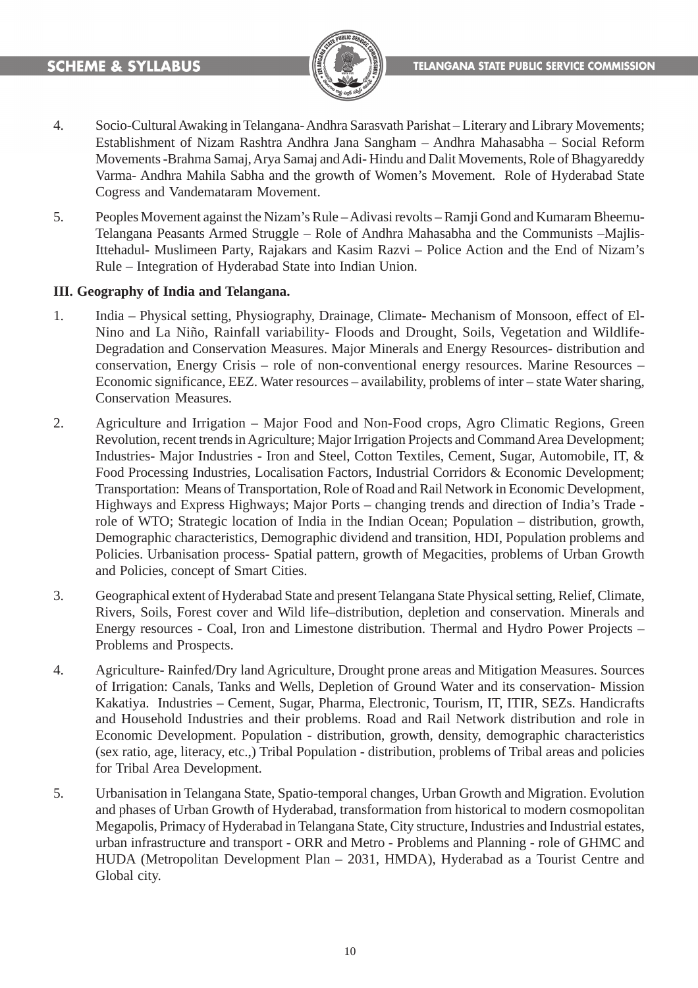

- 4. Socio-Cultural Awaking in Telangana- Andhra Sarasvath Parishat Literary and Library Movements; Establishment of Nizam Rashtra Andhra Jana Sangham – Andhra Mahasabha – Social Reform Movements -Brahma Samaj, Arya Samaj and Adi- Hindu and Dalit Movements, Role of Bhagyareddy Varma- Andhra Mahila Sabha and the growth of Women's Movement. Role of Hyderabad State Cogress and Vandemataram Movement.
- 5. Peoples Movement against the Nizam's Rule Adivasi revolts Ramji Gond and Kumaram Bheemu-Telangana Peasants Armed Struggle – Role of Andhra Mahasabha and the Communists –Majlis-Ittehadul- Muslimeen Party, Rajakars and Kasim Razvi – Police Action and the End of Nizam's Rule – Integration of Hyderabad State into Indian Union.

#### **III. Geography of India and Telangana.**

- 1. India Physical setting, Physiography, Drainage, Climate- Mechanism of Monsoon, effect of El-Nino and La Niño, Rainfall variability- Floods and Drought, Soils, Vegetation and Wildlife-Degradation and Conservation Measures. Major Minerals and Energy Resources- distribution and conservation, Energy Crisis – role of non-conventional energy resources. Marine Resources – Economic significance, EEZ. Water resources – availability, problems of inter – state Water sharing, Conservation Measures.
- 2. Agriculture and Irrigation Major Food and Non-Food crops, Agro Climatic Regions, Green Revolution, recent trends in Agriculture; Major Irrigation Projects and Command Area Development; Industries- Major Industries - Iron and Steel, Cotton Textiles, Cement, Sugar, Automobile, IT, & Food Processing Industries, Localisation Factors, Industrial Corridors & Economic Development; Transportation: Means of Transportation, Role of Road and Rail Network in Economic Development, Highways and Express Highways; Major Ports – changing trends and direction of India's Trade role of WTO; Strategic location of India in the Indian Ocean; Population – distribution, growth, Demographic characteristics, Demographic dividend and transition, HDI, Population problems and Policies. Urbanisation process- Spatial pattern, growth of Megacities, problems of Urban Growth and Policies, concept of Smart Cities.
- 3. Geographical extent of Hyderabad State and present Telangana State Physical setting, Relief, Climate, Rivers, Soils, Forest cover and Wild life–distribution, depletion and conservation. Minerals and Energy resources - Coal, Iron and Limestone distribution. Thermal and Hydro Power Projects – Problems and Prospects.
- 4. Agriculture- Rainfed/Dry land Agriculture, Drought prone areas and Mitigation Measures. Sources of Irrigation: Canals, Tanks and Wells, Depletion of Ground Water and its conservation- Mission Kakatiya. Industries – Cement, Sugar, Pharma, Electronic, Tourism, IT, ITIR, SEZs. Handicrafts and Household Industries and their problems. Road and Rail Network distribution and role in Economic Development. Population - distribution, growth, density, demographic characteristics (sex ratio, age, literacy, etc.,) Tribal Population - distribution, problems of Tribal areas and policies for Tribal Area Development.
- 5. Urbanisation in Telangana State, Spatio-temporal changes, Urban Growth and Migration. Evolution and phases of Urban Growth of Hyderabad, transformation from historical to modern cosmopolitan Megapolis, Primacy of Hyderabad in Telangana State, City structure, Industries and Industrial estates, urban infrastructure and transport - ORR and Metro - Problems and Planning - role of GHMC and HUDA (Metropolitan Development Plan – 2031, HMDA), Hyderabad as a Tourist Centre and Global city.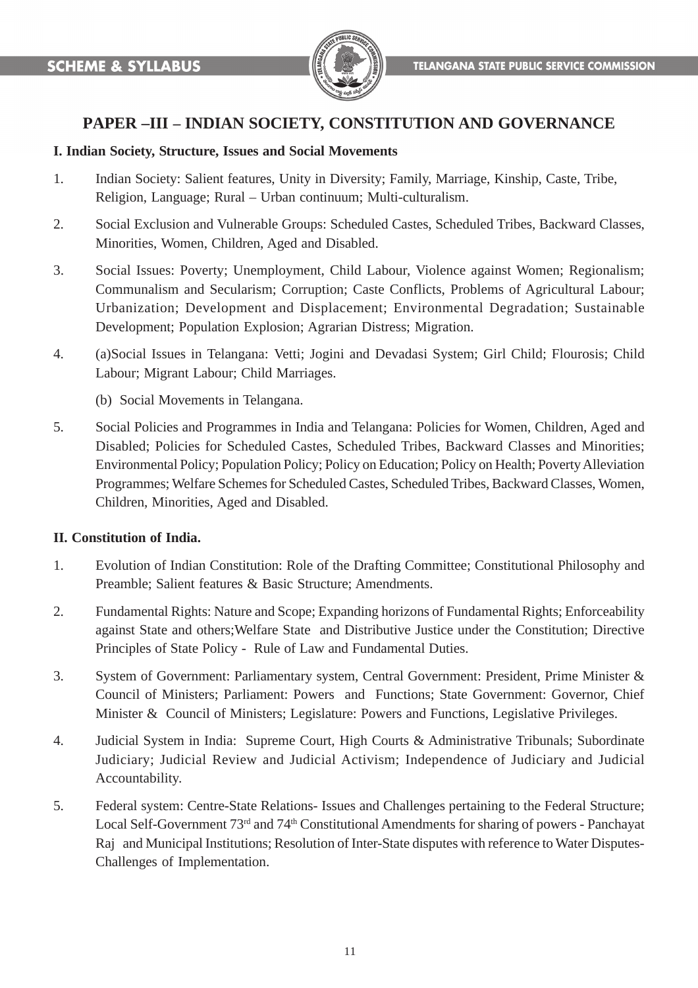

# **PAPER –III – INDIAN SOCIETY, CONSTITUTION AND GOVERNANCE**

#### **I. Indian Society, Structure, Issues and Social Movements**

- 1. Indian Society: Salient features, Unity in Diversity; Family, Marriage, Kinship, Caste, Tribe, Religion, Language; Rural – Urban continuum; Multi-culturalism.
- 2. Social Exclusion and Vulnerable Groups: Scheduled Castes, Scheduled Tribes, Backward Classes, Minorities, Women, Children, Aged and Disabled.
- 3. Social Issues: Poverty; Unemployment, Child Labour, Violence against Women; Regionalism; Communalism and Secularism; Corruption; Caste Conflicts, Problems of Agricultural Labour; Urbanization; Development and Displacement; Environmental Degradation; Sustainable Development; Population Explosion; Agrarian Distress; Migration.
- 4. (a)Social Issues in Telangana: Vetti; Jogini and Devadasi System; Girl Child; Flourosis; Child Labour; Migrant Labour; Child Marriages.
	- (b) Social Movements in Telangana.
- 5. Social Policies and Programmes in India and Telangana: Policies for Women, Children, Aged and Disabled; Policies for Scheduled Castes, Scheduled Tribes, Backward Classes and Minorities; Environmental Policy; Population Policy; Policy on Education; Policy on Health; Poverty Alleviation Programmes; Welfare Schemes for Scheduled Castes, Scheduled Tribes, Backward Classes, Women, Children, Minorities, Aged and Disabled.

#### **II. Constitution of India.**

- 1. Evolution of Indian Constitution: Role of the Drafting Committee; Constitutional Philosophy and Preamble; Salient features & Basic Structure; Amendments.
- 2. Fundamental Rights: Nature and Scope; Expanding horizons of Fundamental Rights; Enforceability against State and others;Welfare State and Distributive Justice under the Constitution; Directive Principles of State Policy - Rule of Law and Fundamental Duties.
- 3. System of Government: Parliamentary system, Central Government: President, Prime Minister & Council of Ministers; Parliament: Powers and Functions; State Government: Governor, Chief Minister & Council of Ministers; Legislature: Powers and Functions, Legislative Privileges.
- 4. Judicial System in India: Supreme Court, High Courts & Administrative Tribunals; Subordinate Judiciary; Judicial Review and Judicial Activism; Independence of Judiciary and Judicial Accountability.
- 5. Federal system: Centre-State Relations- Issues and Challenges pertaining to the Federal Structure; Local Self-Government 73<sup>rd</sup> and 74<sup>th</sup> Constitutional Amendments for sharing of powers - Panchayat Raj and Municipal Institutions; Resolution of Inter-State disputes with reference to Water Disputes-Challenges of Implementation.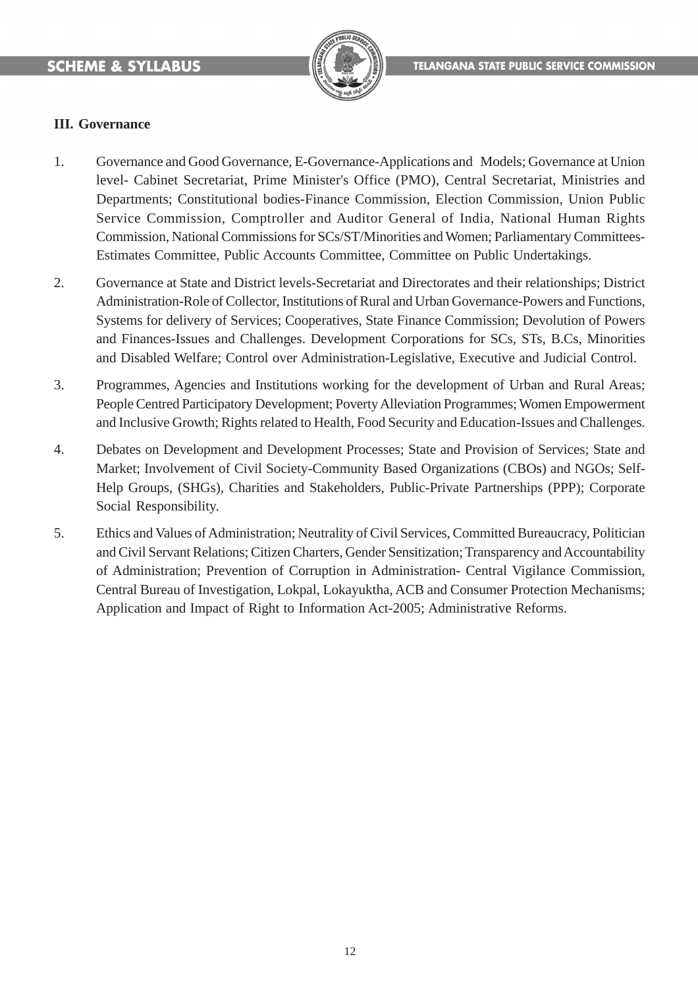

#### **III. Governance**

- 1. Governance and Good Governance, E-Governance-Applications and Models; Governance at Union level- Cabinet Secretariat, Prime Minister's Office (PMO), Central Secretariat, Ministries and Departments; Constitutional bodies-Finance Commission, Election Commission, Union Public Service Commission, Comptroller and Auditor General of India, National Human Rights Commission, National Commissions for SCs/ST/Minorities and Women; Parliamentary Committees-Estimates Committee, Public Accounts Committee, Committee on Public Undertakings.
- 2. Governance at State and District levels-Secretariat and Directorates and their relationships; District Administration-Role of Collector, Institutions of Rural and Urban Governance-Powers and Functions, Systems for delivery of Services; Cooperatives, State Finance Commission; Devolution of Powers and Finances-Issues and Challenges. Development Corporations for SCs, STs, B.Cs, Minorities and Disabled Welfare; Control over Administration-Legislative, Executive and Judicial Control.
- 3. Programmes, Agencies and Institutions working for the development of Urban and Rural Areas; People Centred Participatory Development; Poverty Alleviation Programmes; Women Empowerment and Inclusive Growth; Rights related to Health, Food Security and Education-Issues and Challenges.
- 4. Debates on Development and Development Processes; State and Provision of Services; State and Market; Involvement of Civil Society-Community Based Organizations (CBOs) and NGOs; Self-Help Groups, (SHGs), Charities and Stakeholders, Public-Private Partnerships (PPP); Corporate Social Responsibility.
- 5. Ethics and Values of Administration; Neutrality of Civil Services, Committed Bureaucracy, Politician and Civil Servant Relations; Citizen Charters, Gender Sensitization; Transparency and Accountability of Administration; Prevention of Corruption in Administration- Central Vigilance Commission, Central Bureau of Investigation, Lokpal, Lokayuktha, ACB and Consumer Protection Mechanisms; Application and Impact of Right to Information Act-2005; Administrative Reforms.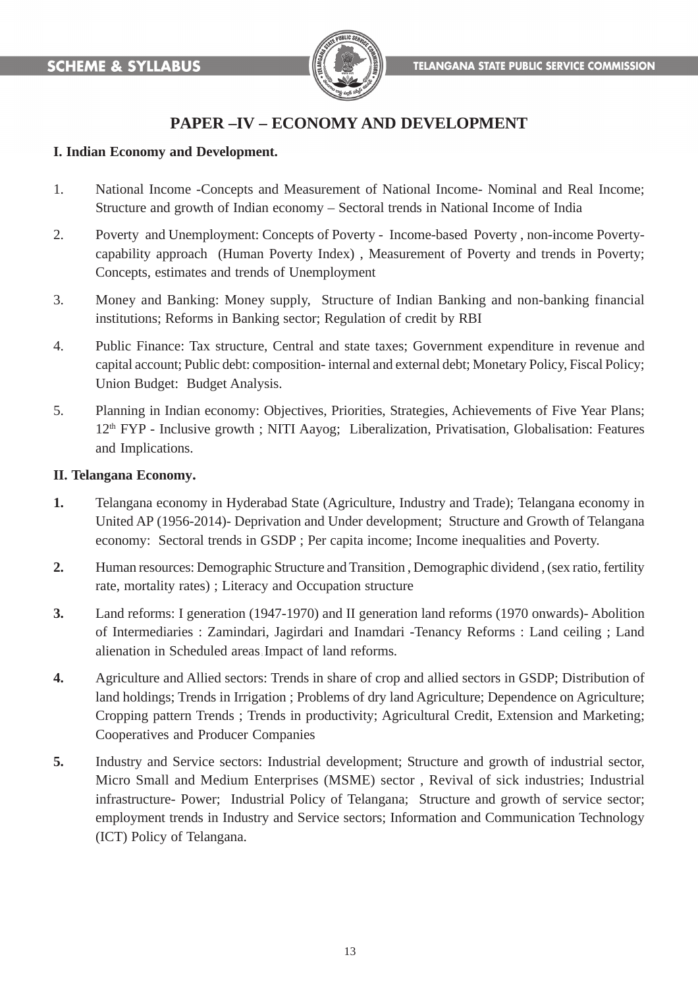

# **PAPER –IV – ECONOMY AND DEVELOPMENT**

#### **I. Indian Economy and Development.**

- 1. National Income -Concepts and Measurement of National Income- Nominal and Real Income; Structure and growth of Indian economy – Sectoral trends in National Income of India
- 2. Poverty and Unemployment: Concepts of Poverty Income-based Poverty , non-income Povertycapability approach (Human Poverty Index), Measurement of Poverty and trends in Poverty; Concepts, estimates and trends of Unemployment
- 3. Money and Banking: Money supply, Structure of Indian Banking and non-banking financial institutions; Reforms in Banking sector; Regulation of credit by RBI
- 4. Public Finance: Tax structure, Central and state taxes; Government expenditure in revenue and capital account; Public debt: composition- internal and external debt; Monetary Policy, Fiscal Policy; Union Budget: Budget Analysis.
- 5. Planning in Indian economy: Objectives, Priorities, Strategies, Achievements of Five Year Plans; 12th FYP - Inclusive growth ; NITI Aayog; Liberalization, Privatisation, Globalisation: Features and Implications.

#### **II. Telangana Economy.**

- **1.** Telangana economy in Hyderabad State (Agriculture, Industry and Trade); Telangana economy in United AP (1956-2014)- Deprivation and Under development; Structure and Growth of Telangana economy: Sectoral trends in GSDP ; Per capita income; Income inequalities and Poverty.
- **2.** Human resources: Demographic Structure and Transition , Demographic dividend , (sex ratio, fertility rate, mortality rates) ; Literacy and Occupation structure
- **3.** Land reforms: I generation (1947-1970) and II generation land reforms (1970 onwards)- Abolition of Intermediaries : Zamindari, Jagirdari and Inamdari -Tenancy Reforms : Land ceiling ; Land alienation in Scheduled areas ; Impact of land reforms.
- **4.** Agriculture and Allied sectors: Trends in share of crop and allied sectors in GSDP; Distribution of land holdings; Trends in Irrigation ; Problems of dry land Agriculture; Dependence on Agriculture; Cropping pattern Trends ; Trends in productivity; Agricultural Credit, Extension and Marketing; Cooperatives and Producer Companies
- **5.** Industry and Service sectors: Industrial development; Structure and growth of industrial sector, Micro Small and Medium Enterprises (MSME) sector , Revival of sick industries; Industrial infrastructure- Power; Industrial Policy of Telangana; Structure and growth of service sector; employment trends in Industry and Service sectors; Information and Communication Technology (ICT) Policy of Telangana.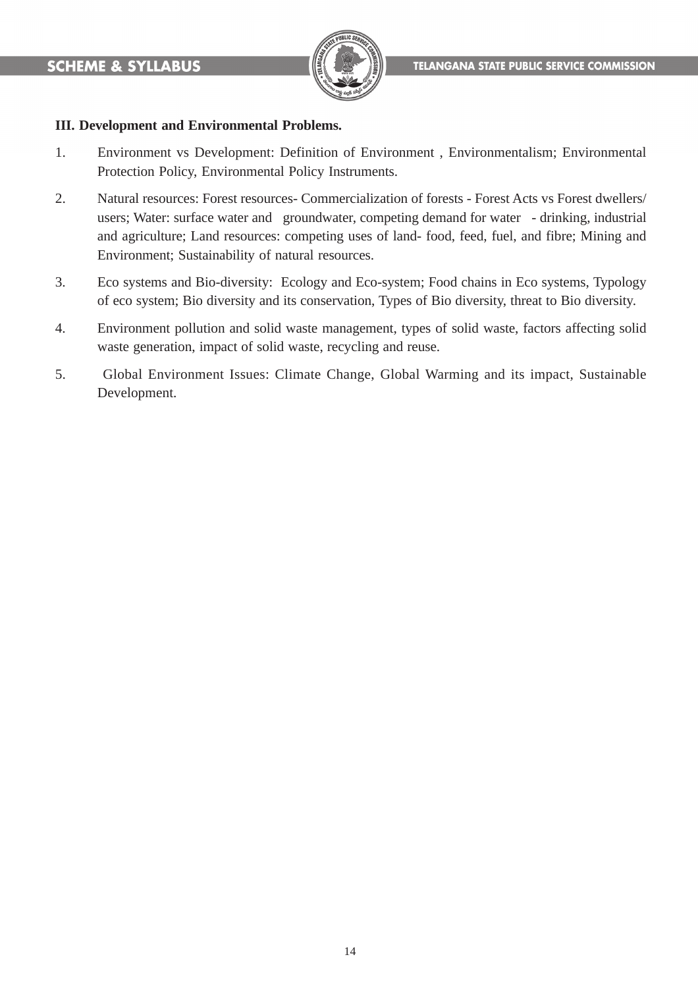

#### **III. Development and Environmental Problems.**

- 1. Environment vs Development: Definition of Environment , Environmentalism; Environmental Protection Policy, Environmental Policy Instruments.
- 2. Natural resources: Forest resources- Commercialization of forests Forest Acts vs Forest dwellers/ users; Water: surface water and groundwater, competing demand for water - drinking, industrial and agriculture; Land resources: competing uses of land- food, feed, fuel, and fibre; Mining and Environment; Sustainability of natural resources.
- 3. Eco systems and Bio-diversity: Ecology and Eco-system; Food chains in Eco systems, Typology of eco system; Bio diversity and its conservation, Types of Bio diversity, threat to Bio diversity.
- 4. Environment pollution and solid waste management, types of solid waste, factors affecting solid waste generation, impact of solid waste, recycling and reuse.
- 5. Global Environment Issues: Climate Change, Global Warming and its impact, Sustainable Development.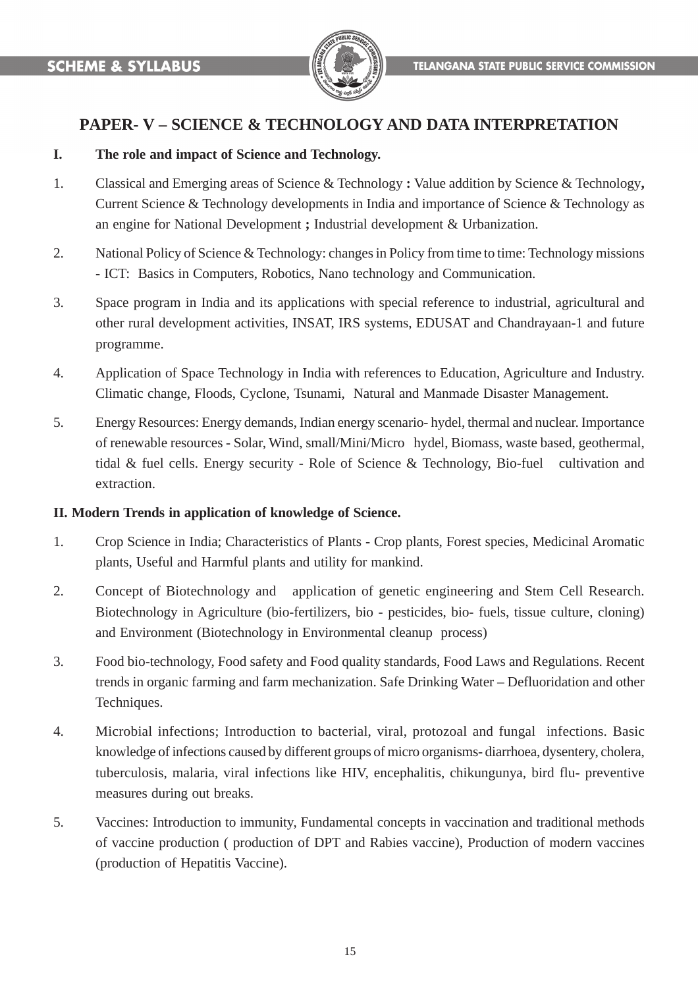

### **PAPER- V – SCIENCE & TECHNOLOGY AND DATA INTERPRETATION**

#### **I. The role and impact of Science and Technology.**

- 1. Classical and Emerging areas of Science & Technology **:** Value addition by Science & Technology**,** Current Science & Technology developments in India and importance of Science & Technology as an engine for National Development **;** Industrial development & Urbanization.
- 2. National Policy of Science & Technology: changes in Policy from time to time: Technology missions **-** ICT: Basics in Computers, Robotics, Nano technology and Communication.
- 3. Space program in India and its applications with special reference to industrial, agricultural and other rural development activities, INSAT, IRS systems, EDUSAT and Chandrayaan-1 and future programme.
- 4. Application of Space Technology in India with references to Education, Agriculture and Industry. Climatic change, Floods, Cyclone, Tsunami, Natural and Manmade Disaster Management.
- 5. Energy Resources: Energy demands, Indian energy scenario- hydel, thermal and nuclear. Importance of renewable resources - Solar, Wind, small/Mini/Micro hydel, Biomass, waste based, geothermal, tidal & fuel cells. Energy security - Role of Science & Technology, Bio-fuel cultivation and extraction.

#### **II. Modern Trends in application of knowledge of Science.**

- 1. Crop Science in India; Characteristics of Plants Crop plants, Forest species, Medicinal Aromatic plants, Useful and Harmful plants and utility for mankind.
- 2. Concept of Biotechnology and application of genetic engineering and Stem Cell Research. Biotechnology in Agriculture (bio-fertilizers, bio - pesticides, bio- fuels, tissue culture, cloning) and Environment (Biotechnology in Environmental cleanup process)
- 3. Food bio-technology, Food safety and Food quality standards, Food Laws and Regulations. Recent trends in organic farming and farm mechanization. Safe Drinking Water – Defluoridation and other Techniques.
- 4. Microbial infections; Introduction to bacterial, viral, protozoal and fungal infections. Basic knowledge of infections caused by different groups of micro organisms- diarrhoea, dysentery, cholera, tuberculosis, malaria, viral infections like HIV, encephalitis, chikungunya, bird flu- preventive measures during out breaks.
- 5. Vaccines: Introduction to immunity, Fundamental concepts in vaccination and traditional methods of vaccine production ( production of DPT and Rabies vaccine), Production of modern vaccines (production of Hepatitis Vaccine).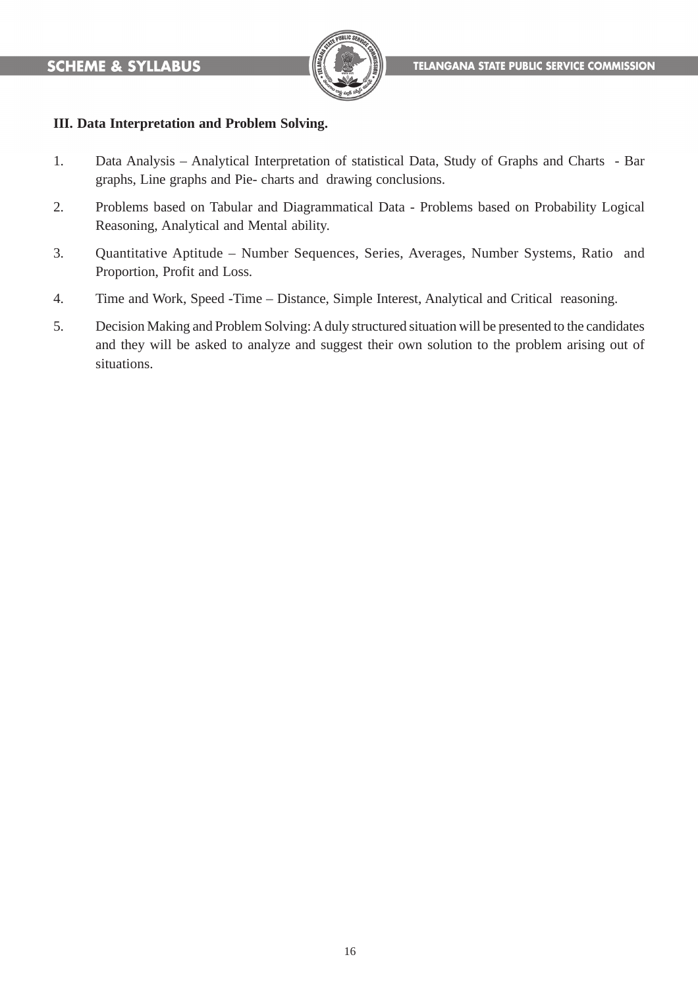

#### **III. Data Interpretation and Problem Solving.**

- 1. Data Analysis Analytical Interpretation of statistical Data, Study of Graphs and Charts Bar graphs, Line graphs and Pie- charts and drawing conclusions.
- 2. Problems based on Tabular and Diagrammatical Data Problems based on Probability Logical Reasoning, Analytical and Mental ability.
- 3. Quantitative Aptitude Number Sequences, Series, Averages, Number Systems, Ratio and Proportion, Profit and Loss.
- 4. Time and Work, Speed -Time Distance, Simple Interest, Analytical and Critical reasoning.
- 5. Decision Making and Problem Solving: A duly structured situation will be presented to the candidates and they will be asked to analyze and suggest their own solution to the problem arising out of situations.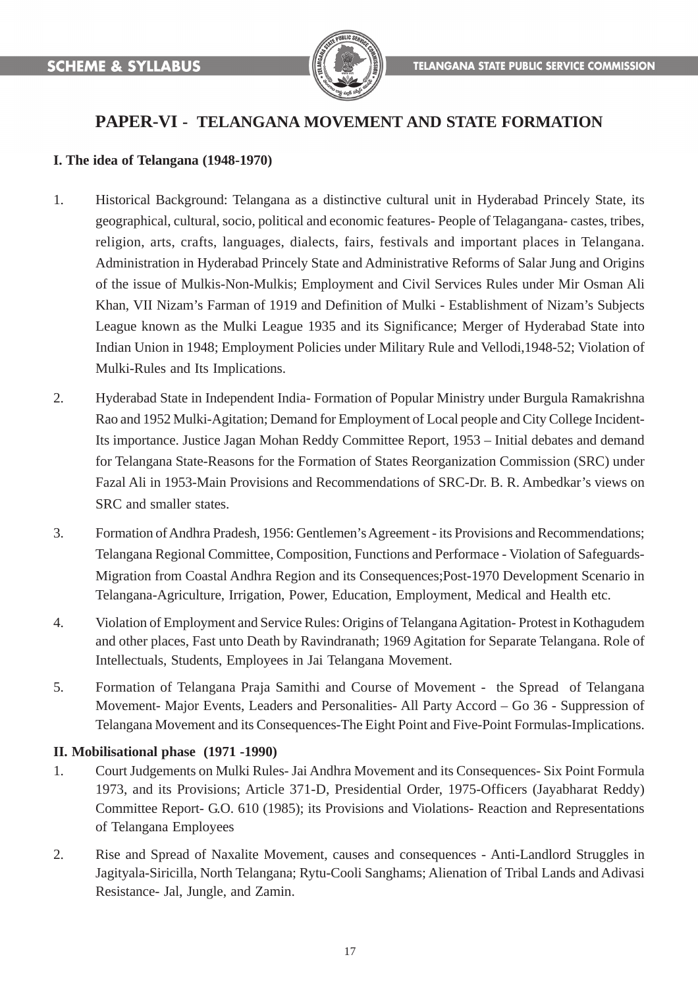

# **PAPER-VI - TELANGANA MOVEMENT AND STATE FORMATION**

#### **I. The idea of Telangana (1948-1970)**

- 1. Historical Background: Telangana as a distinctive cultural unit in Hyderabad Princely State, its geographical, cultural, socio, political and economic features- People of Telagangana- castes, tribes, religion, arts, crafts, languages, dialects, fairs, festivals and important places in Telangana. Administration in Hyderabad Princely State and Administrative Reforms of Salar Jung and Origins of the issue of Mulkis-Non-Mulkis; Employment and Civil Services Rules under Mir Osman Ali Khan, VII Nizam's Farman of 1919 and Definition of Mulki - Establishment of Nizam's Subjects League known as the Mulki League 1935 and its Significance; Merger of Hyderabad State into Indian Union in 1948; Employment Policies under Military Rule and Vellodi,1948-52; Violation of Mulki-Rules and Its Implications.
- 2. Hyderabad State in Independent India- Formation of Popular Ministry under Burgula Ramakrishna Rao and 1952 Mulki-Agitation; Demand for Employment of Local people and City College Incident-Its importance. Justice Jagan Mohan Reddy Committee Report, 1953 – Initial debates and demand for Telangana State-Reasons for the Formation of States Reorganization Commission (SRC) under Fazal Ali in 1953-Main Provisions and Recommendations of SRC-Dr. B. R. Ambedkar's views on SRC and smaller states.
- 3. Formation of Andhra Pradesh, 1956: Gentlemen's Agreement its Provisions and Recommendations; Telangana Regional Committee, Composition, Functions and Performace - Violation of Safeguards-Migration from Coastal Andhra Region and its Consequences;Post-1970 Development Scenario in Telangana-Agriculture, Irrigation, Power, Education, Employment, Medical and Health etc.
- 4. Violation of Employment and Service Rules: Origins of Telangana Agitation- Protest in Kothagudem and other places, Fast unto Death by Ravindranath; 1969 Agitation for Separate Telangana. Role of Intellectuals, Students, Employees in Jai Telangana Movement.
- 5. Formation of Telangana Praja Samithi and Course of Movement the Spread of Telangana Movement- Major Events, Leaders and Personalities- All Party Accord – Go 36 - Suppression of Telangana Movement and its Consequences-The Eight Point and Five-Point Formulas-Implications.

#### **II. Mobilisational phase (1971 -1990)**

- 1. Court Judgements on Mulki Rules- Jai Andhra Movement and its Consequences- Six Point Formula 1973, and its Provisions; Article 371-D, Presidential Order, 1975-Officers (Jayabharat Reddy) Committee Report- G.O. 610 (1985); its Provisions and Violations- Reaction and Representations of Telangana Employees
- 2. Rise and Spread of Naxalite Movement, causes and consequences Anti-Landlord Struggles in Jagityala-Siricilla, North Telangana; Rytu-Cooli Sanghams; Alienation of Tribal Lands and Adivasi Resistance- Jal, Jungle, and Zamin.